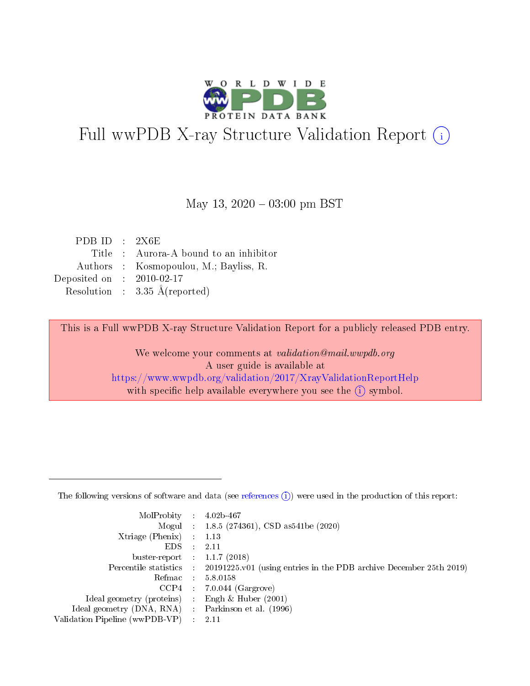

# Full wwPDB X-ray Structure Validation Report (i)

#### May 13,  $2020 - 03:00 \text{ pm} \text{ BST}$

| PDB ID : $2X6E$             |                                          |
|-----------------------------|------------------------------------------|
|                             | Title : Aurora-A bound to an inhibitor   |
|                             | Authors : Kosmopoulou, M.; Bayliss, R.   |
| Deposited on : $2010-02-17$ |                                          |
|                             | Resolution : $3.35 \text{ Å}$ (reported) |

This is a Full wwPDB X-ray Structure Validation Report for a publicly released PDB entry.

We welcome your comments at validation@mail.wwpdb.org A user guide is available at <https://www.wwpdb.org/validation/2017/XrayValidationReportHelp> with specific help available everywhere you see the  $(i)$  symbol.

The following versions of software and data (see [references](https://www.wwpdb.org/validation/2017/XrayValidationReportHelp#references)  $(1)$ ) were used in the production of this report:

| MolProbity :                   |               | $4.02b - 467$                                                               |
|--------------------------------|---------------|-----------------------------------------------------------------------------|
|                                |               | Mogul : $1.8.5$ (274361), CSD as 541be (2020)                               |
| Xtriage (Phenix)               | $\mathcal{L}$ | 1.13                                                                        |
| EDS.                           |               | 2.11                                                                        |
| buster-report : $1.1.7$ (2018) |               |                                                                             |
| Percentile statistics :        |               | $20191225 \text{v}01$ (using entries in the PDB archive December 25th 2019) |
| Refmac :                       |               | 5.8.0158                                                                    |
| CCP4                           |               | $7.0.044$ (Gargrove)                                                        |
| Ideal geometry (proteins) :    |               | Engh $\&$ Huber (2001)                                                      |
| Ideal geometry (DNA, RNA) :    |               | Parkinson et al. (1996)                                                     |
| Validation Pipeline (wwPDB-VP) | $\mathcal{L}$ | 2.11                                                                        |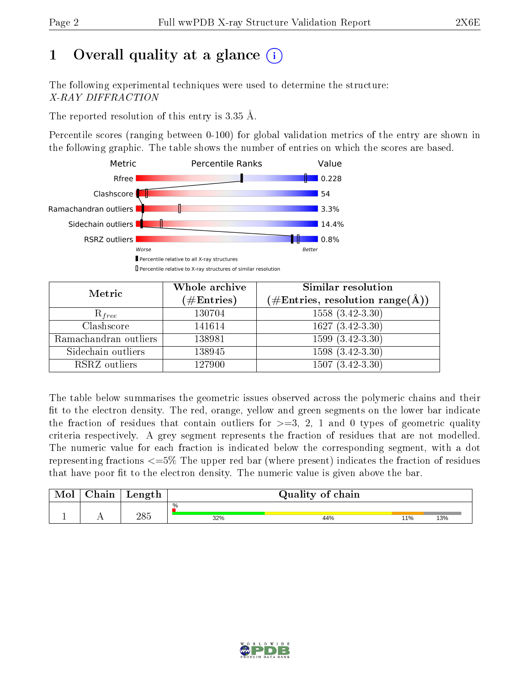# 1 [O](https://www.wwpdb.org/validation/2017/XrayValidationReportHelp#overall_quality)verall quality at a glance  $(i)$

The following experimental techniques were used to determine the structure: X-RAY DIFFRACTION

The reported resolution of this entry is 3.35 Å.

Percentile scores (ranging between 0-100) for global validation metrics of the entry are shown in the following graphic. The table shows the number of entries on which the scores are based.



| Metric                | Whole archive        | <b>Similar resolution</b>                                  |
|-----------------------|----------------------|------------------------------------------------------------|
|                       | $(\#\text{Entries})$ | $(\#\text{Entries}, \text{resolution range}(\text{\AA})\)$ |
| $R_{free}$            | 130704               | $1558(3.42-3.30)$                                          |
| Clashscore            | 141614               | $1627 (3.42 - 3.30)$                                       |
| Ramachandran outliers | 138981               | $1599(3.42-3.30)$                                          |
| Sidechain outliers    | 138945               | $1598(3.42-3.30)$                                          |
| RSRZ outliers         | 127900               | $1507(3.42-3.30)$                                          |

The table below summarises the geometric issues observed across the polymeric chains and their fit to the electron density. The red, orange, yellow and green segments on the lower bar indicate the fraction of residues that contain outliers for  $>=3, 2, 1$  and 0 types of geometric quality criteria respectively. A grey segment represents the fraction of residues that are not modelled. The numeric value for each fraction is indicated below the corresponding segment, with a dot representing fractions  $\epsilon=5\%$  The upper red bar (where present) indicates the fraction of residues that have poor fit to the electron density. The numeric value is given above the bar.

| ${\bf Chain}$ | Length |             | Quality of chain |                 |     |
|---------------|--------|-------------|------------------|-----------------|-----|
|               | 285    | $\%$<br>32% | 44%              | 10 <sub>0</sub> | 13% |
|               |        |             |                  |                 |     |

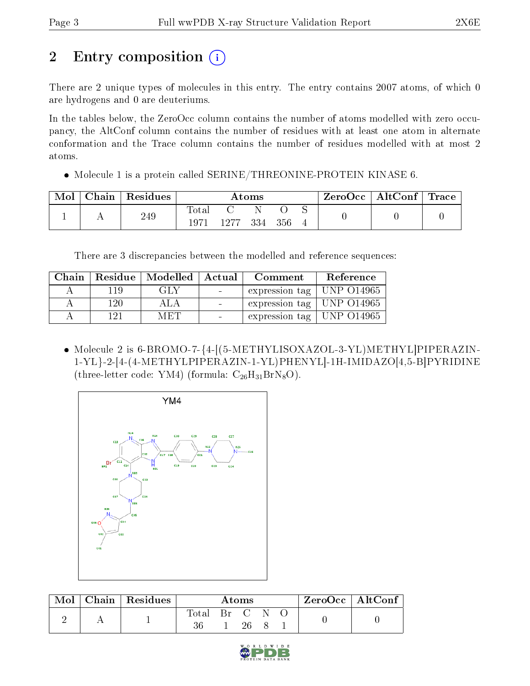# 2 Entry composition (i)

There are 2 unique types of molecules in this entry. The entry contains 2007 atoms, of which 0 are hydrogens and 0 are deuteriums.

In the tables below, the ZeroOcc column contains the number of atoms modelled with zero occupancy, the AltConf column contains the number of residues with at least one atom in alternate conformation and the Trace column contains the number of residues modelled with at most 2 atoms.

Molecule 1 is a protein called SERINE/THREONINE-PROTEIN KINASE 6.

| Mol | Chain | Residues |                      | Atoms |  |         | $\text{ZeroOcc} \mid \text{AltConf} \mid \text{Trace} \mid$ |  |  |
|-----|-------|----------|----------------------|-------|--|---------|-------------------------------------------------------------|--|--|
|     |       | 249      | <b>Total</b><br>1971 | 1277  |  | 334 356 |                                                             |  |  |

There are 3 discrepancies between the modelled and reference sequences:

|     | Chain   Residue   Modelled   Actual |                 | ${\bf Comment}$                       | Reference |
|-----|-------------------------------------|-----------------|---------------------------------------|-----------|
| 119 | GLY                                 | $\sim 10^{-10}$ | expression tag   UNP $\sim$ 014965    |           |
| 120 | ALA                                 |                 | expression tag   UNP $\sim$ 014965    |           |
| 191 | MET                                 |                 | $\pm$ expression tag $\pm$ UNP 014965 |           |

 Molecule 2 is 6-BROMO-7-{4-[(5-METHYLISOXAZOL-3-YL)METHYL]PIPERAZIN-1-YL}-2-[4-(4-METHYLPIPERAZIN-1-YL)PHENYL]-1H-IMIDAZO[4,5-B]PYRIDINE (three-letter code: YM4) (formula:  $C_{26}H_{31}BrN_8O$ ).



| Mol | Chain   Residues | Atoms |    |    | $\rm ZeroOcc \mid AltConf$ |  |  |
|-----|------------------|-------|----|----|----------------------------|--|--|
|     |                  | Fotal | Вr |    |                            |  |  |
|     |                  |       |    | 26 |                            |  |  |

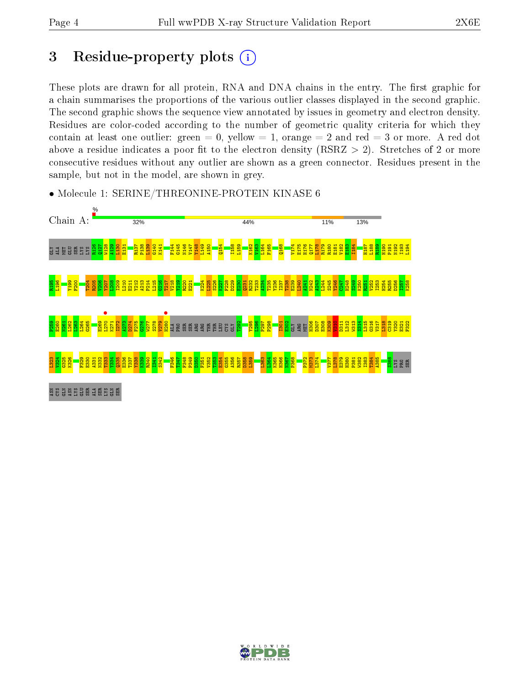## 3 Residue-property plots  $(i)$

These plots are drawn for all protein, RNA and DNA chains in the entry. The first graphic for a chain summarises the proportions of the various outlier classes displayed in the second graphic. The second graphic shows the sequence view annotated by issues in geometry and electron density. Residues are color-coded according to the number of geometric quality criteria for which they contain at least one outlier: green  $= 0$ , yellow  $= 1$ , orange  $= 2$  and red  $= 3$  or more. A red dot above a residue indicates a poor fit to the electron density (RSRZ  $> 2$ ). Stretches of 2 or more consecutive residues without any outlier are shown as a green connector. Residues present in the sample, but not in the model, are shown in grey.



• Molecule 1: SERINE/THREONINE-PROTEIN KINASE 6

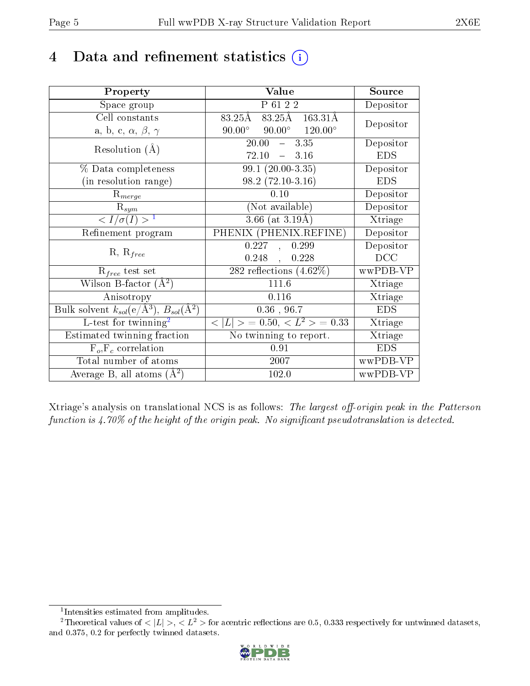# 4 Data and refinement statistics  $(i)$

| Property                                                         | Value                                            | Source     |
|------------------------------------------------------------------|--------------------------------------------------|------------|
| Space group                                                      | P 61 2 2                                         | Depositor  |
| Cell constants                                                   | $83.25\text{\AA}$ $163.31\text{\AA}$<br>83.25Å   | Depositor  |
| a, b, c, $\alpha$ , $\beta$ , $\gamma$                           | $90.00^{\circ}$ $90.00^{\circ}$ $120.00^{\circ}$ |            |
| Resolution $(A)$                                                 | 20.00<br>$-3.35$                                 | Depositor  |
|                                                                  | 72.10<br>$-3.16$                                 | <b>EDS</b> |
| % Data completeness                                              | $\overline{99.1}$ $(20.00-3.35)$                 | Depositor  |
| (in resolution range)                                            | $98.2(72.10-3.16)$                               | <b>EDS</b> |
| $R_{merge}$                                                      | 0.10                                             | Depositor  |
| $\mathrm{R}_{sym}$                                               | (Not available)                                  | Depositor  |
| $\langle I/\sigma(I) \rangle^{-1}$                               | $3.66$ (at $3.19$ Å)                             | Xtriage    |
| Refinement program                                               | PHENIX (PHENIX.REFINE)                           | Depositor  |
| $R, R_{free}$                                                    | 0.227<br>0.299<br>$\mathbf{A}$                   | Depositor  |
|                                                                  | 0.228<br>$0.248$ ,                               | DCC        |
| $\mathcal{R}_{free}$ test set                                    | $282$ reflections $(4.62\%)$                     | wwPDB-VP   |
| Wilson B-factor $(A^2)$                                          | 111.6                                            | Xtriage    |
| Anisotropy                                                       | 0.116                                            | Xtriage    |
| Bulk solvent $k_{sol}(\text{e}/\text{A}^3), B_{sol}(\text{A}^2)$ | $0.36$ , 96.7                                    | <b>EDS</b> |
| L-test for $\mathrm{twinning}^2$                                 | $< L >$ = 0.50, $< L2$ > = 0.33                  | Xtriage    |
| Estimated twinning fraction                                      | No twinning to report.                           | Xtriage    |
| $F_o, F_c$ correlation                                           | 0.91                                             | <b>EDS</b> |
| Total number of atoms                                            | 2007                                             | wwPDB-VP   |
| Average B, all atoms $(A^2)$                                     | 102.0                                            | wwPDB-VP   |

Xtriage's analysis on translational NCS is as follows: The largest off-origin peak in the Patterson function is  $4.70\%$  of the height of the origin peak. No significant pseudotranslation is detected.

<sup>&</sup>lt;sup>2</sup>Theoretical values of  $\langle |L| \rangle$ ,  $\langle L^2 \rangle$  for acentric reflections are 0.5, 0.333 respectively for untwinned datasets, and 0.375, 0.2 for perfectly twinned datasets.



<span id="page-4-1"></span><span id="page-4-0"></span><sup>1</sup> Intensities estimated from amplitudes.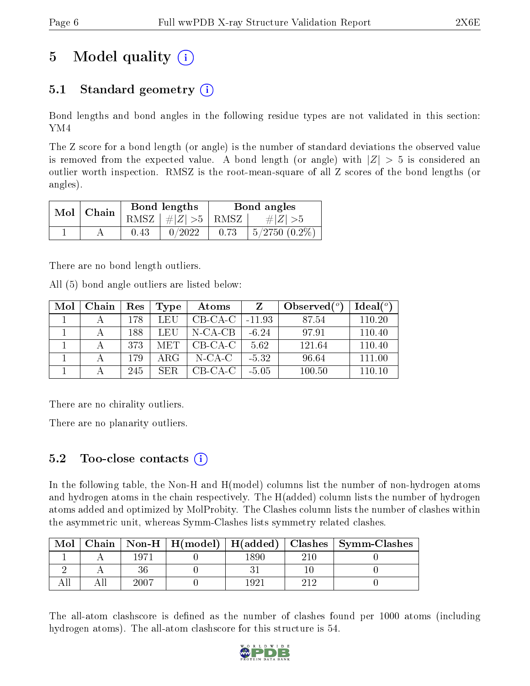# 5 Model quality  $(i)$

### 5.1 Standard geometry  $(i)$

Bond lengths and bond angles in the following residue types are not validated in this section: YM4

The Z score for a bond length (or angle) is the number of standard deviations the observed value is removed from the expected value. A bond length (or angle) with  $|Z| > 5$  is considered an outlier worth inspection. RMSZ is the root-mean-square of all Z scores of the bond lengths (or angles).

| Mol | Chain |      | Bond lengths                            | Bond angles |                   |  |
|-----|-------|------|-----------------------------------------|-------------|-------------------|--|
|     |       |      | RMSZ $\mid \#  Z  > 5 \mid$ RMSZ $\mid$ |             | $\# Z  > 5$       |  |
|     |       | 0.43 | 0/2022                                  | 0.73        | $5/2750$ $(0.2\%$ |  |

There are no bond length outliers.

All (5) bond angle outliers are listed below:

| Mol | Chain | Res | Type | Atoms      |          | Observed $(°)$ | Ideal $(°)$ |
|-----|-------|-----|------|------------|----------|----------------|-------------|
|     |       | 178 | LEU  | $CB-CA-C$  | $-11.93$ | 87.54          | 110.20      |
|     |       | 188 | LEU  | $N$ -CA-CB | $-6.24$  | 97.91          | 110.40      |
|     |       | 373 | MET. | $CB-CA-C$  | 5.62     | 121.64         | 110.40      |
|     |       | 179 | ARG  | N-CA-C     | $-5.32$  | 96.64          | 111.00      |
|     |       | 245 | SER. | $CB-CA-C$  | $-5.05$  | 100.50         | 110 10      |

There are no chirality outliers.

There are no planarity outliers.

### $5.2$  Too-close contacts  $(i)$

In the following table, the Non-H and H(model) columns list the number of non-hydrogen atoms and hydrogen atoms in the chain respectively. The H(added) column lists the number of hydrogen atoms added and optimized by MolProbity. The Clashes column lists the number of clashes within the asymmetric unit, whereas Symm-Clashes lists symmetry related clashes.

| Mol |       |       | Chain   Non-H   H(model)   H(added)   Clashes   Symm-Clashes |
|-----|-------|-------|--------------------------------------------------------------|
|     | 1971  | 1890. |                                                              |
|     |       |       |                                                              |
|     | -2007 |       |                                                              |

The all-atom clashscore is defined as the number of clashes found per 1000 atoms (including hydrogen atoms). The all-atom clashscore for this structure is 54.

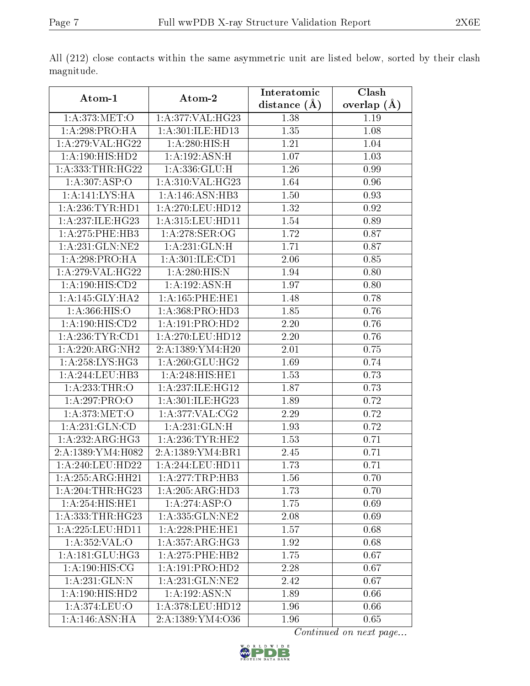|                      |                       | Interatomic       | Clash         |
|----------------------|-----------------------|-------------------|---------------|
| Atom-1               | Atom-2                | distance $(A)$    | overlap $(A)$ |
| 1: A:373:MET:O       | 1: A:377: VAL:HG23    | 1.38              | 1.19          |
| 1: A:298:PRO:HA      | 1: A:301: ILE: HD13   | 1.35              | 1.08          |
| 1: A:279: VAL:HG22   | 1: A:280: HIS:H       | 1.21              | 1.04          |
| 1:A:190:HIS:HD2      | 1:A:192:ASN:H         | 1.07              | 1.03          |
| 1:A:333:THR:HG22     | 1: A: 336: GLU:H      | 1.26              | 0.99          |
| 1: A:307: ASP:O      | 1:A:310:VAL:HG23      | 1.64              | 0.96          |
| 1: A:141:LYS:HA      | 1:A:146:ASN:HB3       | 1.50              | 0.93          |
| 1:A:236:TYR:HD1      | 1: A:270:LEU:HD12     | 1.32              | 0.92          |
| 1:A:237:ILE:HG23     | 1:A:315:LEU:HD11      | 1.54              | 0.89          |
| 1:A:275:PHE:HB3      | 1:A:278:SER:OG        | 1.72              | 0.87          |
| 1:A:231:GLN:NE2      | 1:A:231:GLN:H         | 1.71              | 0.87          |
| 1:A:298:PRO:HA       | 1:A:301:ILE:CD1       | 2.06              | 0.85          |
| 1:A:279:VAL:HG22     | 1:A:280:HIS:N         | 1.94              | 0.80          |
| 1:A:190:HIS:CD2      | 1:A:192:ASN:H         | 1.97              | 0.80          |
| 1:A:145:GLY:HA2      | 1: A: 165: PHE: HE1   | 1.48              | 0.78          |
| 1: A: 366: HIS: O    | 1: A: 368: PRO: HD3   | 1.85              | 0.76          |
| 1: A:190:HIS:CD2     | 1: A:191: PRO:HD2     | 2.20              | 0.76          |
| 1: A:236:TYR:CD1     | 1: A:270:LEU:HD12     | 2.20              | 0.76          |
| 1:A:220:ARG:NH2      | 2: A: 1389: YM 4: H20 | $\overline{2.01}$ | 0.75          |
| 1: A:258: LYS:HG3    | 1: A:260: GLU:HG2     | 1.69              | 0.74          |
| 1:A:244:LEU:HB3      | 1: A:248: HIS: HE1    | 1.53              | 0.73          |
| 1:A:233:THR:O        | 1:A:237:ILE:HG12      | 1.87              | 0.73          |
| 1:A:297:PRO:O        | 1:A:301:ILE:HG23      | 1.89              | 0.72          |
| 1: A:373:MET:O       | 1:A:377:VAL:CG2       | 2.29              | 0.72          |
| 1:A:231:GLN:CD       | 1:A:231:GLN:H         | 1.93              | 0.72          |
| 1:A:232:ARG:HG3      | 1: A:236:TYR:HE2      | 1.53              | 0.71          |
| 2:A:1389:YM4:H082    | 2:A:1389:YM4:BR1      | 2.45              | 0.71          |
| 1:A:240:LEU:HD22     | 1:A:244:LEU:HD11      | 1.73              | 0.71          |
| 1:A:255:ARG:HH21     | 1: A:277:TRP:HB3      | 1.56              | 0.70          |
| 1: A:204:THR:HG23    | 1:A:205:ARG:HD3       | 1.73              | 0.70          |
| 1:A:254:HIS:HE1      | 1:A:274:ASP:O         | 1.75              | 0.69          |
| 1: A: 333: THR: HG23 | 1:A:335:GLN:NE2       | 2.08              | 0.69          |
| 1:A:225:LEU:HD11     | 1: A:228:PHE:HE1      | 1.57              | 0.68          |
| 1:A:352:VAL:O        | 1:A:357:ARG:HG3       | 1.92              | 0.68          |
| 1: A:181: GLU:HG3    | 1: A:275:PHE:HB2      | 1.75              | 0.67          |
| 1:A:190:HIS:CG       | 1:A:191:PRO:HD2       | 2.28              | 0.67          |
| 1: A:231: GLN:N      | 1: A:231: GLN:NE2     | 2.42              | 0.67          |
| 1:A:190:HIS:HD2      | 1:A:192:ASN:N         | 1.89              | 0.66          |
| 1:A:374:LEU:O        | 1:A:378:LEU:HD12      | 1.96              | 0.66          |
| 1:A:146:ASN:HA       | 2:A:1389:YM4:O36      | 1.96              | 0.65          |

All (212) close contacts within the same asymmetric unit are listed below, sorted by their clash magnitude.

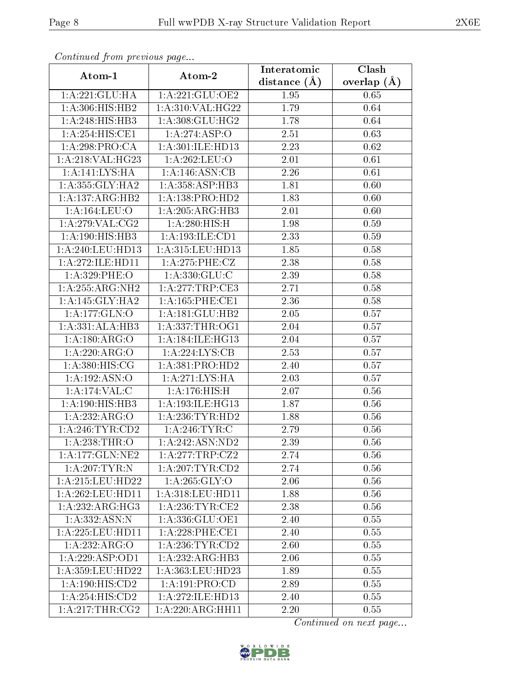| Continual from previous page |                     | Interatomic    | Clash         |  |
|------------------------------|---------------------|----------------|---------------|--|
| Atom-1                       | Atom-2              | distance $(A)$ | overlap $(A)$ |  |
| 1:A:221:GLU:HA               | 1:A:221:GLU:OE2     | 1.95           | 0.65          |  |
| 1:A:306:HIS:HB2              | 1: A:310: VAL:HG22  | 1.79           | 0.64          |  |
| 1:A:248:HIS:HB3              | 1: A:308: GLU: HG2  | 1.78           | 0.64          |  |
| 1:A:254:HIS:CE1              | 1:A:274:ASP:O       | 2.51           | 0.63          |  |
| 1:A:298:PRO:CA               | 1: A:301: ILE: HD13 | 2.23           | 0.62          |  |
| 1:A:218:VAL:HG23             | 1: A:262:LEU:O      | 2.01           | 0.61          |  |
| 1:A:141:LYS:HA               | 1:A:146:ASN:CB      | 2.26           | $0.61\,$      |  |
| 1: A: 355: GLY: HA2          | 1:A:358:ASP:HB3     | 1.81           | 0.60          |  |
| 1:A:137:ARG:HB2              | 1:A:138:PRO:HD2     | 1.83           | 0.60          |  |
| 1:A:164:LEU:O                | 1:A:205:ARG:HB3     | 2.01           | 0.60          |  |
| 1: A:279: VAL: CG2           | 1:A:280:HIS:H       | 1.98           | 0.59          |  |
| $1:A:190:\overline{HIS:HB3}$ | 1:A:193:ILE:CD1     | 2.33           | 0.59          |  |
| 1:A:240:LEU:HD13             | 1:A:315:LEU:HD13    | 1.85           | 0.58          |  |
| 1:A:272:ILE:HD11             | 1:A:275:PHE:CZ      | 2.38           | 0.58          |  |
| 1:A:329:PHE:O                | 1: A: 330: GLU: C   | 2.39           | 0.58          |  |
| 1: A:255:ARG:NH2             | 1: A:277:TRP:CE3    | 2.71           | 0.58          |  |
| 1: A:145: GLY:HA2            | 1:A:165:PHE:CE1     | 2.36           | 0.58          |  |
| 1:A:177:GLN:O                | 1: A:181: GLU:HB2   | 2.05           | 0.57          |  |
| 1:A:331:ALA:HB3              | 1: A: 337: THR: OG1 | 2.04           | 0.57          |  |
| 1: A: 180: ARG: O            | 1: A:184: ILE: HG13 | 2.04           | 0.57          |  |
| 1:A:220:ARG:O                | 1: A:224:LYS:CB     | 2.53           | 0.57          |  |
| 1: A:380: HIS: CG            | 1:A:381:PRO:HD2     | 2.40           | 0.57          |  |
| 1: A: 192: ASN:O             | 1:A:271:LYS:HA      | 2.03           | 0.57          |  |
| 1:A:174:VAL:CC               | 1:A:176:HIS:H       | 2.07           | 0.56          |  |
| 1:A:190:HIS:HB3              | 1:A:193:ILE:HG13    | 1.87           | 0.56          |  |
| 1:A:232:ARG:O                | 1: A:236:TYR:HD2    | 1.88           | 0.56          |  |
| 1: A:246:TYR:CD2             | 1: A:246:TYR:C      | 2.79           | 0.56          |  |
| 1:A:238:THR:O                | 1:A:242:ASN:ND2     | 2.39           | 0.56          |  |
| 1:A:177:GLN:NE2              | 1:A:277:TRP:CZ2     | 2.74           | 0.56          |  |
| 1: A:207:TYR:N               | 1: A:207:TYR:CD2    | 2.74           | 0.56          |  |
| 1:A:215:LEU:HD22             | 1: A:265: GLY:O     | 2.06           | 0.56          |  |
| 1:A:262:LEU:HD11             | 1:A:318:LEU:HD11    | 1.88           | 0.56          |  |
| 1:A:232:ARG:HG3              | 1: A:236:TYR:CE2    | 2.38           | 0.56          |  |
| 1:A:332:ASN:N                | 1:A:336:GLU:OE1     | 2.40           | 0.55          |  |
| 1: A: 225: LEU: HD11         | 1:A:228:PHE:CE1     | 2.40           | 0.55          |  |
| 1:A:232:ARG:O                | 1: A:236:TYR:CD2    | 2.60           | 0.55          |  |
| 1:A:229:ASP:OD1              | 1:A:232:ARG:HB3     | 2.06           | 0.55          |  |
| 1:A:359:LEU:HD22             | 1:A:363:LEU:HD23    | 1.89           | 0.55          |  |
| 1: A:190: HIS: CD2           | 1: A: 191: PRO:CD   | 2.89           | 0.55          |  |
| 1: A:254: HIS: CD2           | 1:A:272:ILE:HD13    | 2.40           | 0.55          |  |
| 1: A:217:THR:CG2             | 1:A:220:ARG:HH11    | 2.20           | 0.55          |  |

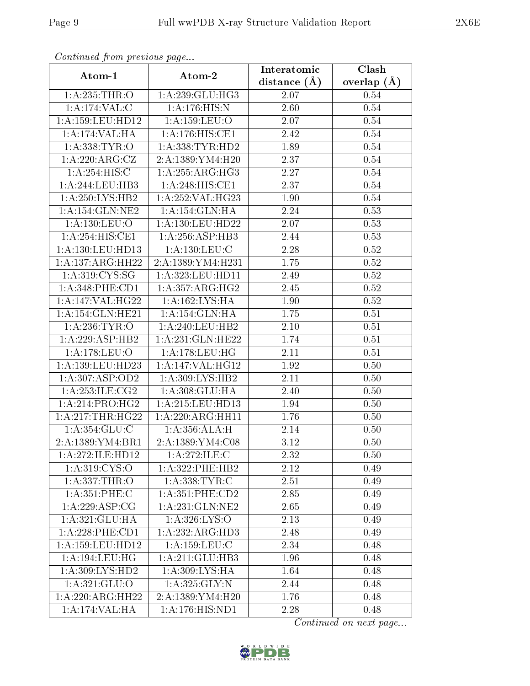| Continuate promotious page          |                       | Interatomic       | $\overline{\text{Clash}}$ |
|-------------------------------------|-----------------------|-------------------|---------------------------|
| Atom-1                              | Atom-2                | distance $(A)$    | overlap $(A)$             |
| 1: A:235:THR:O                      | 1:A:239:GLU:HG3       | $2.07\,$          | 0.54                      |
| 1:A:174:VAL:CC                      | 1: A:176: HIS:N       | 2.60              | 0.54                      |
| 1: A: 159: LEU: HD12                | 1:A:159:LEU:O         | 2.07              | 0.54                      |
| 1:A:174:VAL:HA                      | 1:A:176:HIS:CE1       | 2.42              | 0.54                      |
| 1: A: 338: TYR: O                   | 1: A: 338: TYR: HD2   | 1.89              | 0.54                      |
| 1:A:220:ARG:CZ                      | 2: A: 1389: YM 4: H20 | 2.37              | 0.54                      |
| 1:A:254:HIS:C                       | 1:A:255:ARG:HG3       | 2.27              | 0.54                      |
| 1:A:244:LEU:HB3                     | 1:A:248:HIS:CE1       | 2.37              | 0.54                      |
| 1: A:250: LYS: HB2                  | 1:A:252:VAL:HG23      | 1.90              | 0.54                      |
| 1: A:154: GLN: NE2                  | 1:A:154:GLN:HA        | 2.24              | 0.53                      |
| 1:A:130:LEU:O                       | 1:A:130:LEU:HD22      | 2.07              | 0.53                      |
| 1:A:254:HIS:CE1                     | 1:A:256:ASP:HB3       | 2.44              | 0.53                      |
| 1:A:130:LEU:HD13                    | 1: A: 130: LEU: C     | 2.28              | 0.52                      |
| 1:A:137:ARG:HH22                    | 2:A:1389:YM4:H231     | 1.75              | 0.52                      |
| 1: A:319: C <sub>YS:SG</sub>        | 1:A:323:LEU:HD11      | 2.49              | 0.52                      |
| 1:A:348:PHE:CD1                     | 1:A:357:ARG:HG2       | 2.45              | 0.52                      |
| 1: A:147: VAL:HG22                  | 1: A: 162: LYS: HA    | 1.90              | 0.52                      |
| 1:A:154:GLN:HE21                    | 1: A:154: GLN: HA     | 1.75              | 0.51                      |
| 1: A:236:TYR:O                      | 1:A:240:LEU:HB2       | 2.10              | 0.51                      |
| 1:A:229:ASP:HB2                     | 1:A:231:GLN:HE22      | 1.74              | 0.51                      |
| 1:A:178:LEU:O                       | 1: A: 178: LEU: HG    | 2.11              | 0.51                      |
| 1:A:139:LEU:HD23                    | 1:A:147:VAL:HG12      | 1.92              | 0.50                      |
| 1:A:307:ASP:OD2                     | 1:A:309:LYS:HB2       | 2.11              | 0.50                      |
| 1: A: 253: ILE: CG2                 | 1: A:308: GLU: HA     | $\overline{2.40}$ | 0.50                      |
| 1: A:214:PRO:HG2                    | 1: A:215: LEU: HD13   | $1.94\,$          | 0.50                      |
| 1: A:217:THR:HG22                   | 1:A:220:ARG:HH11      | 1.76              | 0.50                      |
| 1:A:354:GLU:C                       | 1: A:356:ALA:H        | 2.14              | 0.50                      |
| 2:A:1389:YM4:BR1                    | 2:A:1389:YM4:C08      | 3.12              | 0.50                      |
| 1:A:272:ILE:HD12                    | 1:A:272:ILE:C         | 2.32              | 0.50                      |
| $1: A:319: \overline{\text{CYS:O}}$ | 1:A:322:PHE:HB2       | 2.12              | 0.49                      |
| 1:A:337:THR:O                       | 1: A: 338: TYR: C     | 2.51              | 0.49                      |
| 1: A:351:PHE: C                     | 1: A:351: PHE:CD2     | 2.85              | 0.49                      |
| 1: A:229: ASP:CG                    | 1: A:231: GLN:NE2     | 2.65              | 0.49                      |
| 1:A:321:GLU:HA                      | 1: A:326: LYS:O       | 2.13              | 0.49                      |
| 1:A:228:PHE:CD1                     | 1:A:232:ARG:HD3       | 2.48              | 0.49                      |
| 1:A:159:LEU:HD12                    | 1:A:159:LEU:C         | 2.34              | 0.48                      |
| 1: A:194:LEU:HG                     | 1:A:211:GLU:HB3       | 1.96              | 0.48                      |
| 1: A:309: LYS: HD2                  | 1:A:309:LYS:HA        | 1.64              | 0.48                      |
| 1: A:321: GLU:O                     | 1: A:325: GLY:N       | 2.44              | 0.48                      |
| 1:A:220:ARG:HH22                    | 2: A: 1389: YM 4: H20 | 1.76              | 0.48                      |
| 1:A:174:VAL:H A                     | 1:A:176:HIS:ND1       | 2.28              | 0.48                      |

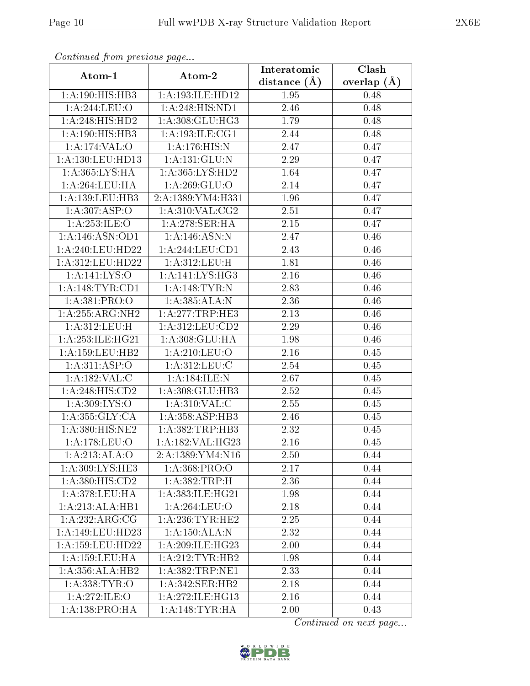| Continued from previous page<br>Atom-1 | Atom-2              | Interatomic    | $\overline{\text{Clash}}$ |  |
|----------------------------------------|---------------------|----------------|---------------------------|--|
|                                        |                     | distance $(A)$ | overlap $(A)$             |  |
| 1:A:190:HIS:HB3                        | 1:A:193:ILE:HD12    | 1.95           | 0.48                      |  |
| 1: A:244:LEU:O                         | 1:A:248:HIS:ND1     | 2.46           | 0.48                      |  |
| 1:A:248:HIS:HD2                        | 1:A:308:GLU:HG3     | 1.79           | 0.48                      |  |
| 1:A:190:HIS:HB3                        | 1: A: 193: ILE: CG1 | 2.44           | 0.48                      |  |
| 1:A:174:VAL:O                          | 1:A:176:HIS:N       | 2.47           | 0.47                      |  |
| 1:A:130:LEU:HD13                       | 1: A: 131: GLU: N   | 2.29           | 0.47                      |  |
| 1:A:365:LYS:HA                         | 1: A: 365: LYS: HD2 | 1.64           | 0.47                      |  |
| 1:A:264:LEU:HA                         | 1: A:269: GLU:O     | 2.14           | 0.47                      |  |
| 1:A:139:LEU:HB3                        | 2:A:1389:YM4:H331   | 1.96           | 0.47                      |  |
| 1: A:307: ASP:O                        | 1: A:310: VAL: CG2  | 2.51           | 0.47                      |  |
| 1: A: 253: ILE: O                      | 1: A:278: SER: HA   | $2.15\,$       | 0.47                      |  |
| 1:A:146:ASN:OD1                        | 1:A:146:ASN:N       | 2.47           | 0.46                      |  |
| 1: A:240:LEU:HD22                      | 1: A:244:LEU:CD1    | 2.43           | 0.46                      |  |
| 1:A:312:LEU:HD22                       | 1:A:312:LEU:H       | 1.81           | 0.46                      |  |
| 1:A:141:LYS:O                          | 1:A:141:LYS:HG3     | 2.16           | 0.46                      |  |
| 1: A:148: TYR: CD1                     | 1:A:148:TYR:N       | 2.83           | 0.46                      |  |
| 1:A:381:PRO:O                          | 1: A:385: ALA: N    | 2.36           | 0.46                      |  |
| 1:A:255:ARG:NH2                        | 1:A:277:TRP:HE3     | 2.13           | 0.46                      |  |
| 1:A:312:LEU:H                          | 1:A:312:LEU:CD2     | 2.29           | 0.46                      |  |
| 1: A:253: ILE: HG21                    | 1:A:308:GLU:HA      | 1.98           | 0.46                      |  |
| 1:A:159:LEU:HB2                        | 1: A:210:LEU:O      | 2.16           | 0.45                      |  |
| 1: A:311: ASP:O                        | 1: A:312: LEU: C    | 2.54           | 0.45                      |  |
| 1:A:182:VAL:CD                         | 1:A:184:ILE:N       | 2.67           | 0.45                      |  |
| 1:A:248:HIS:CD2                        | 1:A:308:GLU:HB3     | 2.52           | 0.45                      |  |
| 1: A:309: LYS:O                        | 1: A:310: VAL:C     | 2.55           | 0.45                      |  |
| 1: A: 355: GLY: CA                     | 1:A:358:ASP:HB3     | 2.46           | 0.45                      |  |
| 1:A:380:HIS:NE2                        | 1: A: 382: TRP: HB3 | 2.32           | 0.45                      |  |
| 1:A:178:LEU:O                          | 1:A:182:VAL:HG23    | 2.16           | 0.45                      |  |
| $1:A:213.\overline{ALA:O}$             | 2:A:1389:YM4:N16    | 2.50           | 0.44                      |  |
| 1:A:309:LYS:HE3                        | 1:A:368:PRO:O       | 2.17           | 0.44                      |  |
| 1:A:380:HIS:CD2                        | 1: A: 382: TRP:H    | 2.36           | 0.44                      |  |
| 1: A:378:LEU:HA                        | 1:A:383:ILE:HG21    | 1.98           | 0.44                      |  |
| 1:A:213:ALA:HB1                        | 1:A:264:LEU:O       | 2.18           | 0.44                      |  |
| 1:A:232:ARG:CG                         | 1: A:236:TYR:HE2    | 2.25           | 0.44                      |  |
| 1:A:149:LEU:HD23                       | 1:A:150:ALA:N       | 2.32           | 0.44                      |  |
| 1:A:159:LEU:HD22                       | 1: A:209: ILE: HG23 | 2.00           | 0.44                      |  |
| 1: A: 159: LEU: HA                     | 1: A: 212: TYR: HB2 | 1.98           | 0.44                      |  |
| 1:A:356:ALA:HB2                        | 1: A: 382: TRP: NE1 | 2.33           | 0.44                      |  |
| 1: A: 338: TYR: O                      | 1:A:342:SER:HB2     | 2.18           | 0.44                      |  |
| 1:A:272:ILE:O                          | 1: A:272: ILE: HG13 | 2.16           | 0.44                      |  |
| 1: A: 138: PRO: HA                     | 1: A:148: TYR: HA   | 2.00           | 0.43                      |  |

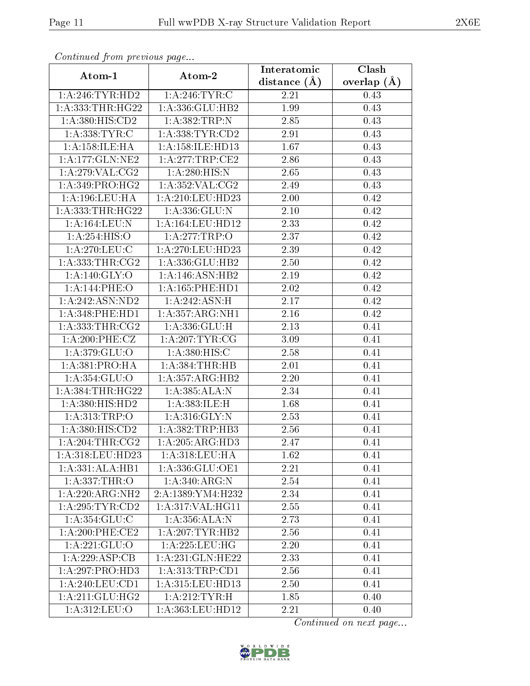| Continuatu jibin prototos pago                 |                                  | Interatomic    | Clash         |  |  |
|------------------------------------------------|----------------------------------|----------------|---------------|--|--|
| Atom-1                                         | Atom-2                           | distance $(A)$ | overlap $(A)$ |  |  |
| 1: A:246:TYR:HD2                               | 1: A:246: TYR: C                 | 2.21           | 0.43          |  |  |
| 1: A: 333: THR: HG22                           | 1:A:336:GLU:HB2                  | 1.99           | 0.43          |  |  |
| 1: A:380: HIS:CD2                              | 1:A:382:TRP:N                    | 2.85           | 0.43          |  |  |
| 1:A:338:TYR:C                                  | 1: A: 338: TYR: CD2              | 2.91           | 0.43          |  |  |
| 1:A:158:ILE:HA                                 | 1:A:158:ILE:HD13                 | 1.67           | 0.43          |  |  |
| 1: A: 177: GLN: NE2                            | 1: A:277:TRP:CE2                 | 2.86           | 0.43          |  |  |
| 1: A:279: VAL: CG2                             | 1:A:280:HIS:N                    | 2.65           | 0.43          |  |  |
| 1: A:349: PRO:HG2                              | 1: A:352: VAL: CG2               | 2.49           | 0.43          |  |  |
| 1:A:196:LEU:HA                                 | 1:A:210:LEU:HD23                 | 2.00           | 0.42          |  |  |
| 1: A: 333: THR: HG22                           | 1:A:336:GLU:N                    | 2.10           | 0.42          |  |  |
| 1:A:164:LEU:N                                  | 1: A: 164: LEU: HD12             | 2.33           | 0.42          |  |  |
| 1: A:254: HIS:O                                | 1:A:277:TRP:O                    | 2.37           | 0.42          |  |  |
| 1:A:270:LEU:C                                  | 1:A:270:LEU:HD23                 | 2.39           | 0.42          |  |  |
| 1: A: 333: THR: CG2                            | 1:A:336:GLU:HB2                  | 2.50           | 0.42          |  |  |
| 1:A:140:GLY:O                                  | 1:A:146:ASN:HB2                  | 2.19           | 0.42          |  |  |
| 1:A:144:PHE:O                                  | 1: A: 165: PHE: HD1              | 2.02           | 0.42          |  |  |
| 1:A:242:ASN:ND2                                | 1:A:242:ASN:H                    | 2.17           | 0.42          |  |  |
| $1: A:348:$ PHE:HD $1$                         | 1: A: 357: ARG: NH1              | 2.16           | 0.42          |  |  |
| 1: A: 333: THR: CG2                            | 1:A:336:GLU:H                    | 2.13           | 0.41          |  |  |
| 1: A:200: PHE: CZ                              | 1: A:207:TYR:CG                  | 3.09           | 0.41          |  |  |
| 1: A:379: GLU:O                                | 1: A: 380: HIS:C                 | 2.58           | 0.41          |  |  |
| 1: A: 381: PRO: HA                             | 1: A: 384: THR: HB               | 2.01           | 0.41          |  |  |
| 1:A:354:GLU:O                                  | 1:A:357:ARG:HB2                  | $2.20\,$       | 0.41          |  |  |
| 1: A: 384: THR: HG22                           | 1:A:385:ALA:N                    | 2.34           | 0.41          |  |  |
| 1: A:380: HIS: HD2                             | 1:A:383:ILE:H                    | 1.68           | 0.41          |  |  |
| 1: A:313:TRP:O                                 | 1: A:316: GLY:N                  | 2.53           | 0.41          |  |  |
| 1:A:380:HIS:CD2                                | 1: A: 382: TRP: HB3              | 2.56           | 0.41          |  |  |
| 1:A:204:THR:CG2                                | 1:A:205:ARG:HD3                  | 2.47           | 0.41          |  |  |
| 1:A:318:LEU:HD23                               | 1:A:318:LEU:HA                   | 1.62           | 0.41          |  |  |
| 1:A:331:ALA:HB1                                | 1:A:336:GLU:OE1                  | 2.21           | 0.41          |  |  |
| 1:A:337:THR:O                                  | $1: A:340: \overline{\rm ARG:N}$ | 2.54           | 0.41          |  |  |
| $1:A:220:A\mathrm{R}\overline{\mathrm{G:NH2}}$ | 2:A:1389:YM4:H232                | 2.34           | 0.41          |  |  |
| 1:A:295:TYR:CD2                                | 1: A:317: VAL:HGI1               | 2.55           | 0.41          |  |  |
| 1: A:354: GLU:C                                | 1:A:356:ALA:N                    | 2.73           | 0.41          |  |  |
| 1:A:200:PHE:CE2                                | 1: A:207:TYR:HB2                 | 2.56           | 0.41          |  |  |
| $1:$ A:221:GLU:O                               | 1: A:225: LEU: HG                | 2.20           | 0.41          |  |  |
| 1:A:229:ASP:CB                                 | 1:A:231:GLN:HE22                 | 2.33           | 0.41          |  |  |
| 1:A:297:PRO:HD3                                | 1: A: 313: TRP: CD1              | 2.56           | 0.41          |  |  |
| 1: A:240:LEU:CD1                               | 1: A: 315: LEU: HD13             | 2.50           | 0.41          |  |  |
| 1: A:211: GLU:HG2                              | 1: A:212:TYR:H                   | 1.85           | 0.40          |  |  |
| 1:A:312:LEU:O                                  | 1:A:363:LEU:HD12                 | 2.21           | 0.40          |  |  |

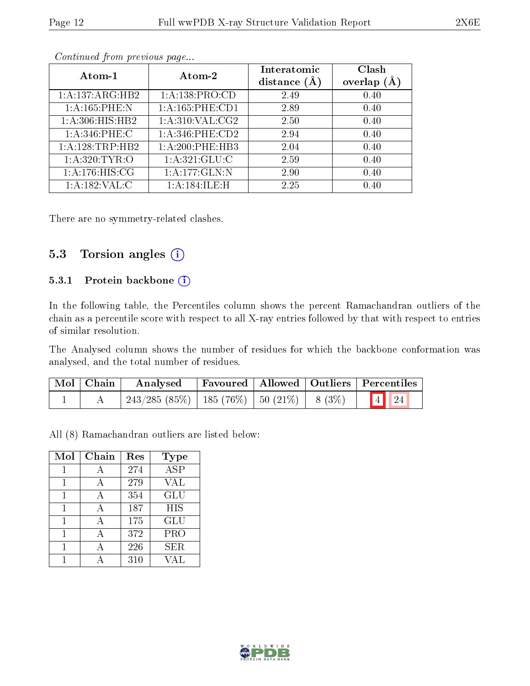| Atom-1             | Atom-2                 | Interatomic<br>distance $(A)$ | Clash<br>overlap (Å |
|--------------------|------------------------|-------------------------------|---------------------|
| 1:A:137:ARG:HB2    | 1:A:138:PRO:CD         | 2.49                          | 0.40                |
| 1:A:165:PHE:N      | 1: A: 165: PHE: CD1    | 2.89                          | 0.40                |
| 1: A:306: HIS: HB2 | 1: A:310: VAL: CG2     | 2.50                          | 0.40                |
| $1: A:346:$ PHE:C  | $1: A:346:$ PHE: $CD2$ | 2.94                          | 0.40                |
| 1:A:128:TRP:HB2    | 1: A:200:PHE:HB3       | 2.04                          | 0.40                |
| 1: A:320: TYR:O    | 1: A:321: GLU: C       | 2.59                          | 0.40                |
| 1: A:176: HIS: CG  | 1:A:177:GLN:N          | 2.90                          | 0.40                |
| 1:A:182:VAL:CC     | 1:A:184:ILE:H          | 2.25                          | 0.40                |

There are no symmetry-related clashes.

#### 5.3 Torsion angles  $(i)$

#### 5.3.1 Protein backbone (i)

In the following table, the Percentiles column shows the percent Ramachandran outliers of the chain as a percentile score with respect to all X-ray entries followed by that with respect to entries of similar resolution.

The Analysed column shows the number of residues for which the backbone conformation was analysed, and the total number of residues.

| $\mid$ Mol $\mid$ Chain $\mid$ | Analysed                                                  |  |  | Favoured   Allowed   Outliers   Percentiles |  |
|--------------------------------|-----------------------------------------------------------|--|--|---------------------------------------------|--|
|                                | $1243/285(85\%)$   185 $(76\%)$   50 $(21\%)$   8 $(3\%)$ |  |  | 4 24                                        |  |

All (8) Ramachandran outliers are listed below:

| Mol | Chain        | Res | Type                    |
|-----|--------------|-----|-------------------------|
|     | А            | 274 | $\overline{\text{ASP}}$ |
|     | А            | 279 | <b>VAL</b>              |
|     | $\mathbf{A}$ | 354 | GLU                     |
|     | $\mathbf{A}$ | 187 | <b>HIS</b>              |
|     | А            | 175 | GLU                     |
|     | А            | 372 | PRO                     |
|     |              | 226 | <b>SER</b>              |
|     |              | 310 |                         |

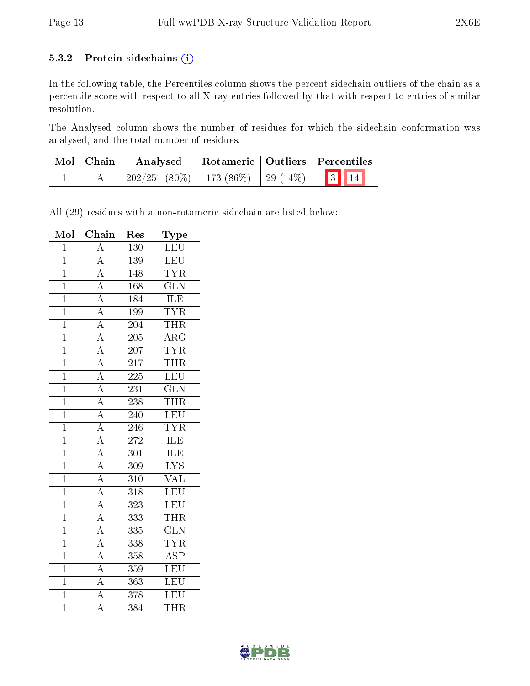#### 5.3.2 Protein sidechains (i)

In the following table, the Percentiles column shows the percent sidechain outliers of the chain as a percentile score with respect to all X-ray entries followed by that with respect to entries of similar resolution.

The Analysed column shows the number of residues for which the sidechain conformation was analysed, and the total number of residues.

| Mol   Chain | Analysed                                 |  | Rotameric   Outliers   Percentiles |
|-------------|------------------------------------------|--|------------------------------------|
|             | $202/251(80\%)$   173 (86\%)   29 (14\%) |  | $\boxed{3}$ $\boxed{14}$           |

All (29) residues with a non-rotameric sidechain are listed below:

| Mol            | Chain                                                                                                                                           | Res              | Type                    |
|----------------|-------------------------------------------------------------------------------------------------------------------------------------------------|------------------|-------------------------|
| $\overline{1}$ | $\overline{\rm A}$                                                                                                                              | 130              | LEU                     |
| $\overline{1}$ | $\overline{A}$                                                                                                                                  | $\overline{139}$ | LEU                     |
| $\overline{1}$ |                                                                                                                                                 | $\overline{148}$ | <b>TYR</b>              |
| $\mathbf{1}$   |                                                                                                                                                 | 168              | $\overline{\text{GLN}}$ |
| $\mathbf{1}$   |                                                                                                                                                 | 184              | <b>ILE</b>              |
| $\mathbf{1}$   | $\frac{\overline{A}}{\overline{A}}$ $\frac{\overline{A}}{\overline{A}}$                                                                         | 199              | <b>TYR</b>              |
| $\overline{1}$ |                                                                                                                                                 | $\overline{204}$ | <b>THR</b>              |
| $\overline{1}$ | $\overline{A}$                                                                                                                                  | 205              | $\overline{\rm{ARG}}$   |
| $\mathbf{1}$   | $\overline{A}$                                                                                                                                  | $\overline{207}$ | $\overline{\text{TYR}}$ |
| $\overline{1}$ | $\frac{\overline{A}}{\overline{A}}$                                                                                                             | 217              | <b>THR</b>              |
| $\overline{1}$ |                                                                                                                                                 | 225              | $\overline{\text{LEU}}$ |
| $\mathbf{1}$   |                                                                                                                                                 | $23\overline{1}$ | $\overline{\text{GLN}}$ |
| $\overline{1}$ |                                                                                                                                                 | 238              | <b>THR</b>              |
| $\overline{1}$ |                                                                                                                                                 | 240              | LEU                     |
| $\mathbf{1}$   | $\frac{\overline{A}}{\overline{A}}$ $\frac{\overline{A}}{\overline{A}}$ $\frac{\overline{A}}{\overline{A}}$ $\frac{\overline{A}}{\overline{A}}$ | 246              | <b>TYR</b>              |
| $\mathbf{1}$   |                                                                                                                                                 | $\overline{272}$ | ILE                     |
| $\mathbf{1}$   |                                                                                                                                                 | $\overline{301}$ | ILE                     |
| $\mathbf{1}$   |                                                                                                                                                 | 309              | $\overline{\text{LYS}}$ |
| $\overline{1}$ |                                                                                                                                                 | $\overline{310}$ | $\overline{\text{VAL}}$ |
| $\overline{1}$ | $\frac{\overline{A}}{A}$                                                                                                                        | $\overline{318}$ | LEU                     |
| $\mathbf{1}$   |                                                                                                                                                 | 323              | <b>LEU</b>              |
| $\overline{1}$ |                                                                                                                                                 | 333              | <b>THR</b>              |
| $\mathbf{1}$   | $\frac{\overline{A}}{\overline{A}}$                                                                                                             | 335              | $\overline{\text{GLN}}$ |
| $\overline{1}$ | $\overline{A}$                                                                                                                                  | 338              | <b>TYR</b>              |
| $\overline{1}$ | $\overline{A}$                                                                                                                                  | 358              | $\overline{\text{ASP}}$ |
| $\overline{1}$ | $\overline{A}$                                                                                                                                  | 359              | LEU                     |
| $\mathbf{1}$   | $\frac{\overline{A}}{\overline{A}}$                                                                                                             | 363              | <b>LEU</b>              |
| $\mathbf{1}$   |                                                                                                                                                 | 378              | <b>LEU</b>              |
| $\overline{1}$ | $\overline{\rm A}$                                                                                                                              | 384              | <b>THR</b>              |

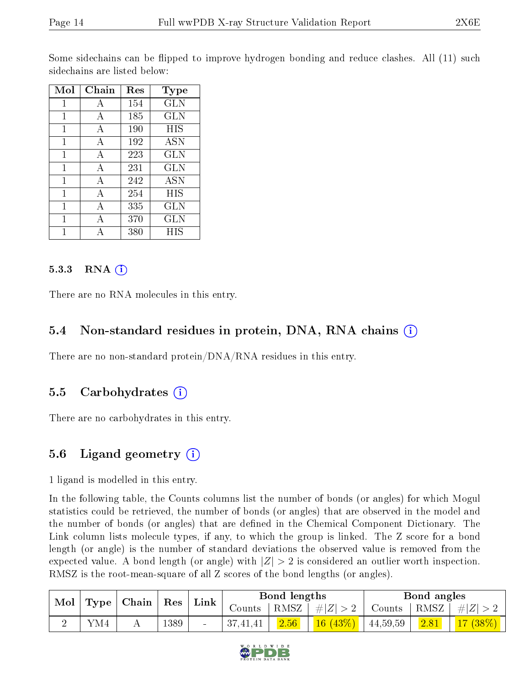Some sidechains can be flipped to improve hydrogen bonding and reduce clashes. All (11) such sidechains are listed below:

| Mol | Chain | Res | Type         |
|-----|-------|-----|--------------|
| 1   | А     | 154 | $_{\rm GLN}$ |
| 1   | А     | 185 | GLN          |
| 1   | А     | 190 | HIS          |
| 1   | А     | 192 | <b>ASN</b>   |
| 1   | А     | 223 | GLN          |
| 1   | А     | 231 | GLN          |
| 1   | А     | 242 | <b>ASN</b>   |
| 1   | A     | 254 | HIS          |
| 1   | A     | 335 | $_{\rm GLN}$ |
| 1   | A     | 370 | <b>GLN</b>   |
|     |       | 380 | НIS          |

#### 5.3.3 RNA  $(i)$

There are no RNA molecules in this entry.

#### 5.4 Non-standard residues in protein, DNA, RNA chains (i)

There are no non-standard protein/DNA/RNA residues in this entry.

#### 5.5 Carbohydrates  $(i)$

There are no carbohydrates in this entry.

### 5.6 Ligand geometry  $(i)$

1 ligand is modelled in this entry.

In the following table, the Counts columns list the number of bonds (or angles) for which Mogul statistics could be retrieved, the number of bonds (or angles) that are observed in the model and the number of bonds (or angles) that are defined in the Chemical Component Dictionary. The Link column lists molecule types, if any, to which the group is linked. The Z score for a bond length (or angle) is the number of standard deviations the observed value is removed from the expected value. A bond length (or angle) with  $|Z| > 2$  is considered an outlier worth inspection. RMSZ is the root-mean-square of all Z scores of the bond lengths (or angles).

| $\text{Mol}_{\perp}$ | $\top$ Type   Chain   Res<br>$\mathop{\rm Link}\nolimits$ |        |               | Bond lengths |                       |      | Bond angles |         |
|----------------------|-----------------------------------------------------------|--------|---------------|--------------|-----------------------|------|-------------|---------|
|                      |                                                           | Counts | $^+$ RMSZ $+$ | $\# Z  > 2$  | Counts                | RMSZ | $\# Z $     |         |
|                      | YM4                                                       | 1389   | 37,41,41      | 2.56         | $16(43\%)$   44,59,59 |      | 2.81        | 17(38%) |

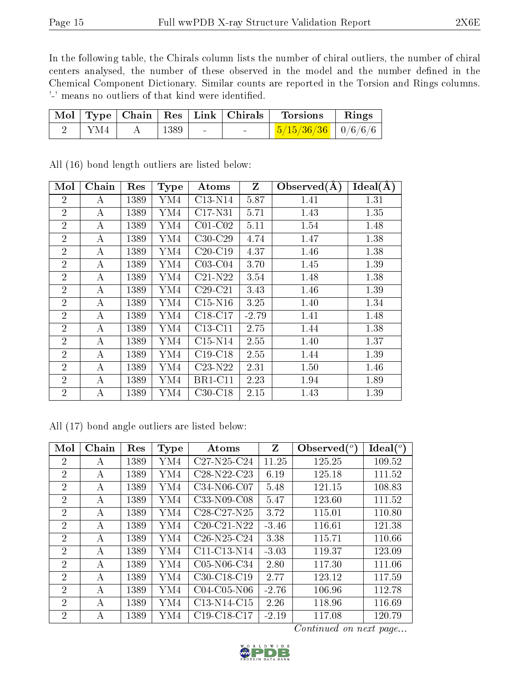In the following table, the Chirals column lists the number of chiral outliers, the number of chiral centers analysed, the number of these observed in the model and the number defined in the Chemical Component Dictionary. Similar counts are reported in the Torsion and Rings columns. '-' means no outliers of that kind were identified.

|     |      | Mol   Type   Chain   Res   Link   Chirals | Torsions                       | Rings |
|-----|------|-------------------------------------------|--------------------------------|-------|
| YM4 | 1389 |                                           | $\frac{5}{15/36/36}$   0/6/6/6 |       |

| Mol            | Chain            | Res  | <b>Type</b> | Atoms          | $\mathbf{Z}$ | Observed $(A)$ | Ideal(A) |
|----------------|------------------|------|-------------|----------------|--------------|----------------|----------|
| $\overline{2}$ | A                | 1389 | YM4         | C13-N14        | 5.87         | 1.41           | 1.31     |
| $\overline{2}$ | A                | 1389 | YM4         | C17-N31        | 5.71         | 1.43           | 1.35     |
| $\overline{2}$ | $\bf{A}$         | 1389 | YM4         | $C01-C02$      | 5.11         | 1.54           | 1.48     |
| $\overline{2}$ | A                | 1389 | YM4         | $C30-C29$      | 4.74         | 1.47           | 1.38     |
| $\overline{2}$ | $\boldsymbol{A}$ | 1389 | YM4         | $C20-C19$      | 4.37         | 1.46           | 1.38     |
| $\overline{2}$ | A                | 1389 | YM4         | $C03-C04$      | 3.70         | 1.45           | 1.39     |
| $\overline{2}$ | A                | 1389 | YM4         | $C21-N22$      | 3.54         | 1.48           | 1.38     |
| $\overline{2}$ | $\bf{A}$         | 1389 | YM4         | $C29-C21$      | 3.43         | 1.46           | 1.39     |
| $\overline{2}$ | A                | 1389 | YM4         | $C15-N16$      | 3.25         | 1.40           | 1.34     |
| $\overline{2}$ | A                | 1389 | YM4         | $C18-C17$      | $-2.79$      | 1.41           | 1.48     |
| $\overline{2}$ | $\boldsymbol{A}$ | 1389 | YM4         | $C13-C11$      | 2.75         | 1.44           | 1.38     |
| $\overline{2}$ | A                | 1389 | YM4         | $C15-N14$      | 2.55         | 1.40           | 1.37     |
| $\overline{2}$ | A                | 1389 | YM4         | $C19-C18$      | 2.55         | 1.44           | 1.39     |
| $\overline{2}$ | A                | 1389 | YM4         | $C23-N22$      | 2.31         | 1.50           | 1.46     |
| $\overline{2}$ | A                | 1389 | YM4         | <b>BR1-C11</b> | 2.23         | 1.94           | 1.89     |
| $\overline{2}$ | А                | 1389 | YM4         | $C30-C18$      | 2.15         | 1.43           | 1.39     |

All (16) bond length outliers are listed below:

All (17) bond angle outliers are listed below:

| Mol            | Chain | Res  | Type | Atoms                                             | Z       | Observed $(°)$ | Ideal $(°)$ |
|----------------|-------|------|------|---------------------------------------------------|---------|----------------|-------------|
| $\overline{2}$ | А     | 1389 | YM4  | $C27-N25-C24$                                     | 11.25   | 125.25         | 109.52      |
| $\overline{2}$ | А     | 1389 | YM4  | C28-N22-C23                                       | 6.19    | 125.18         | 111.52      |
| $\overline{2}$ | A     | 1389 | YM4  | C34-N06-C07                                       | 5.48    | 121.15         | 108.83      |
| $\overline{2}$ | A     | 1389 | YM4  | C33-N09-C08                                       | 5.47    | 123.60         | 111.52      |
| $\overline{2}$ | А     | 1389 | YM4  | $C28-C27-N25$                                     | 3.72    | 115.01         | 110.80      |
| $\overline{2}$ | А     | 1389 | YM4  | $C20-C21-N22$                                     | $-3.46$ | 116.61         | 121.38      |
| $\overline{2}$ | А     | 1389 | YM4  | $C26-N25-C24$                                     | 3.38    | 115.71         | 110.66      |
| $\overline{2}$ | A     | 1389 | YM4  | C11-C13-N14                                       | $-3.03$ | 119.37         | 123.09      |
| $\overline{2}$ | A     | 1389 | YM4  | $C05-N06-C34$                                     | 2.80    | 117.30         | 111.06      |
| $\overline{2}$ | А     | 1389 | YM4  | $C30-C18-C19$                                     | 2.77    | 123.12         | 117.59      |
| $\overline{2}$ | А     | 1389 | YM4  | $C04-C05-N06$                                     | $-2.76$ | 106.96         | 112.78      |
| $\overline{2}$ | А     | 1389 | YM4  | C <sub>13</sub> -N <sub>14</sub> -C <sub>15</sub> | 2.26    | 118.96         | 116.69      |
| $\overline{2}$ | А     | 1389 | YM4  | C19-C18-C17                                       | $-2.19$ | 117.08         | 120.79      |

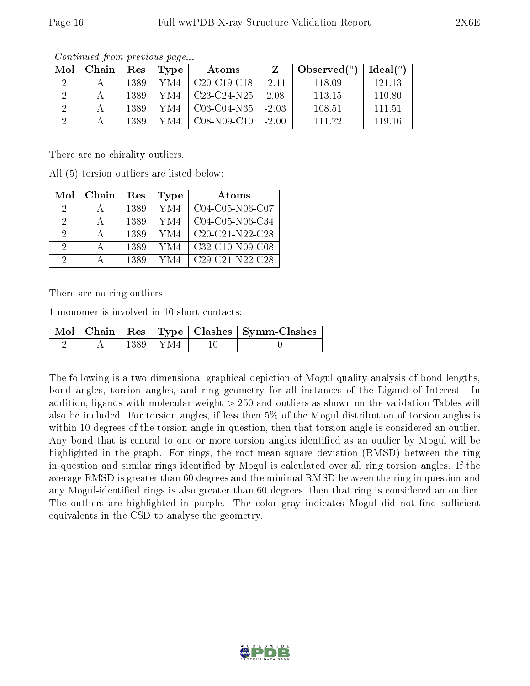| Mol | ${\bf Chain}$ | Res  | Type | Atoms             |         | Observed $(°)$ | Ideal(°) |
|-----|---------------|------|------|-------------------|---------|----------------|----------|
|     |               | 1389 | YM4  | $C20-C19-C18$     | $-2.11$ | 118.09         | 121 13   |
|     |               | 1389 | YM4  | $C23-C24-N25$     | 2.08    | 113.15         | 110.80   |
|     |               | 1389 | YM4  | $C03-C04-N35$     | $-2.03$ | 108.51         | 111.51   |
|     |               | 1389 | YM4  | $C08 - N09 - C10$ | $-2.00$ | 111 79         | 119 16   |

There are no chirality outliers.

All (5) torsion outliers are listed below:

| Mol      | Chain | Res  | <b>Type</b> | Atoms             |
|----------|-------|------|-------------|-------------------|
| $\Omega$ |       | 1389 | YM4         | C04-C05-N06-C07   |
| 9        |       | 1389 | YM4         | C04-C05-N06-C34   |
| 2        |       | 1389 | YM4         | $C20-C21-N22-C28$ |
| 9        |       | 1389 | YM4         | C32-C10-N09-C08   |
| റ        |       | 1389 | YM4         | $C29-C21-N22-C28$ |

There are no ring outliers.

1 monomer is involved in 10 short contacts:

|  |            | Mol   Chain   Res   Type   Clashes   Symm-Clashes |
|--|------------|---------------------------------------------------|
|  | 1389   YM4 |                                                   |

The following is a two-dimensional graphical depiction of Mogul quality analysis of bond lengths, bond angles, torsion angles, and ring geometry for all instances of the Ligand of Interest. In addition, ligands with molecular weight > 250 and outliers as shown on the validation Tables will also be included. For torsion angles, if less then 5% of the Mogul distribution of torsion angles is within 10 degrees of the torsion angle in question, then that torsion angle is considered an outlier. Any bond that is central to one or more torsion angles identified as an outlier by Mogul will be highlighted in the graph. For rings, the root-mean-square deviation (RMSD) between the ring in question and similar rings identified by Mogul is calculated over all ring torsion angles. If the average RMSD is greater than 60 degrees and the minimal RMSD between the ring in question and any Mogul-identified rings is also greater than 60 degrees, then that ring is considered an outlier. The outliers are highlighted in purple. The color gray indicates Mogul did not find sufficient equivalents in the CSD to analyse the geometry.

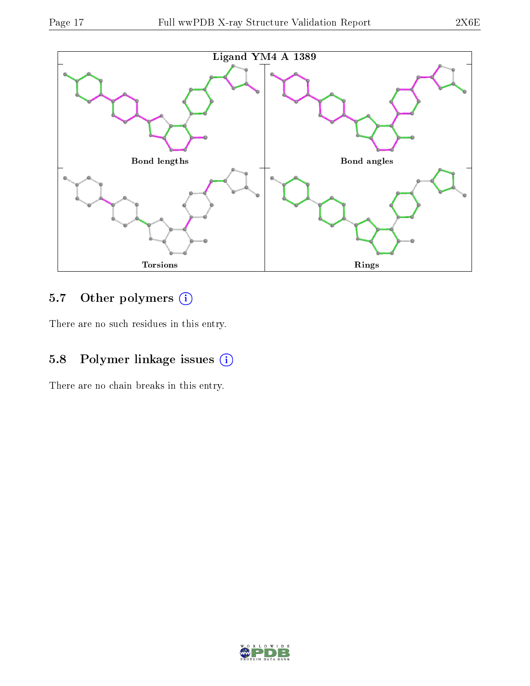

### 5.7 [O](https://www.wwpdb.org/validation/2017/XrayValidationReportHelp#nonstandard_residues_and_ligands)ther polymers (i)

There are no such residues in this entry.

### 5.8 Polymer linkage issues (i)

There are no chain breaks in this entry.

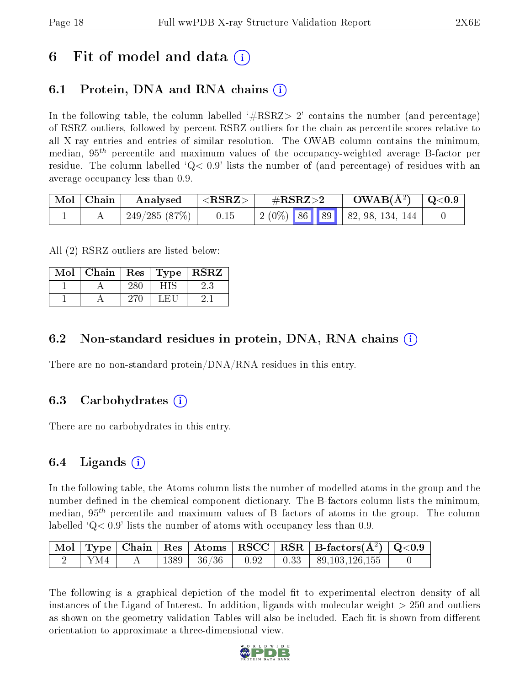## 6 Fit of model and data  $\left( \cdot \right)$

## 6.1 Protein, DNA and RNA chains (i)

In the following table, the column labelled  $#RSRZ>2'$  contains the number (and percentage) of RSRZ outliers, followed by percent RSRZ outliers for the chain as percentile scores relative to all X-ray entries and entries of similar resolution. The OWAB column contains the minimum, median,  $95<sup>th</sup>$  percentile and maximum values of the occupancy-weighted average B-factor per residue. The column labelled  $Q < 0.9$  lists the number of (and percentage) of residues with an average occupancy less than 0.9.

| $\mid$ Mol $\mid$ Chain | Analysed      | $^+$ <rsrz></rsrz> | $\rm \#RSRZ{>}2$                     | $\text{OWAB}(\AA^2)$ $\mid$ Q<0.9 $\mid$ |  |
|-------------------------|---------------|--------------------|--------------------------------------|------------------------------------------|--|
|                         | 249/285 (87%) | 0.15               | $\mid$ 2 (0%) 86 89 82, 98, 134, 144 |                                          |  |

All (2) RSRZ outliers are listed below:

| Mol | Chain | $\sqrt{\frac{1}{1}}$ Res $\sqrt{\frac{1}{1}}$ Type $\sqrt{\frac{1}{1}}$ | $\operatorname{\bf RSRZ}$ |
|-----|-------|-------------------------------------------------------------------------|---------------------------|
|     |       |                                                                         |                           |
|     |       | L FI                                                                    |                           |

#### 6.2 Non-standard residues in protein, DNA, RNA chains  $(i)$

There are no non-standard protein/DNA/RNA residues in this entry.

### 6.3 Carbohydrates (i)

There are no carbohydrates in this entry.

### 6.4 Ligands  $(i)$

In the following table, the Atoms column lists the number of modelled atoms in the group and the number defined in the chemical component dictionary. The B-factors column lists the minimum, median,  $95<sup>th</sup>$  percentile and maximum values of B factors of atoms in the group. The column labelled  $Q < 0.9$  lists the number of atoms with occupancy less than 0.9.

|     |  |                     |  | $\vert$ Mol $\vert$ Type $\vert$ Chain $\vert$ Res $\vert$ Atoms $\vert$ RSCC $\vert$ RSR $\vert$ B-factors(A <sup>2</sup> ) $\vert$ Q<0.9 |  |
|-----|--|---------------------|--|--------------------------------------------------------------------------------------------------------------------------------------------|--|
| YM4 |  | 1389   36/36   0.92 |  | $\vert$ 0.33   89,103,126,155                                                                                                              |  |

The following is a graphical depiction of the model fit to experimental electron density of all instances of the Ligand of Interest. In addition, ligands with molecular weight  $> 250$  and outliers as shown on the geometry validation Tables will also be included. Each fit is shown from different orientation to approximate a three-dimensional view.